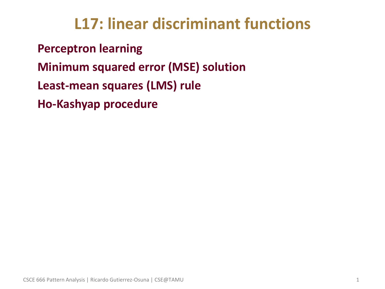## **L17: linear discriminant functions**

• **Perceptron learning**

- **Minimum squared error (MSE) solution**
- **Least-mean squares (LMS) rule**
- **Ho-Kashyap procedure**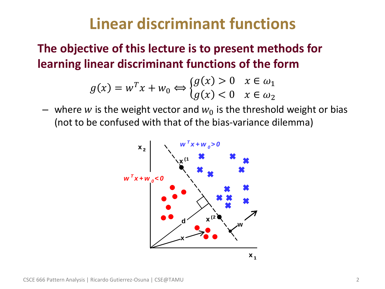## **Linear discriminant functions**

• **The objective of this lecture is to present methods for learning linear discriminant functions of the form**

$$
g(x) = w^T x + w_0 \Leftrightarrow \begin{cases} g(x) > 0 & x \in \omega_1 \\ g(x) < 0 & x \in \omega_2 \end{cases}
$$

– where w is the weight vector and  $w_0$  is the threshold weight or bias (not to be confused with that of the bias-variance dilemma)

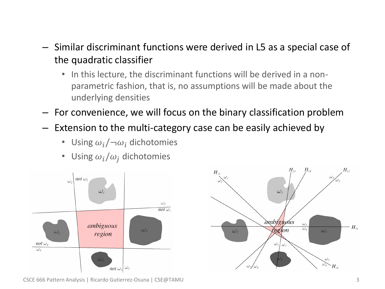- Similar discriminant functions were derived in L5 as a special case of the quadratic classifier
	- In this lecture, the discriminant functions will be derived in a nonparametric fashion, that is, no assumptions will be made about the underlying densities
- For convenience, we will focus on the binary classification problem
- Extension to the multi-category case can be easily achieved by
	- Using  $\omega_i/\neg \omega_i$  dichotomies
	- Using  $\omega_i / \omega_j$  dichotomies





CSCE 666 Pattern Analysis | Ricardo Gutierrez-Osuna | CSE@TAMU 3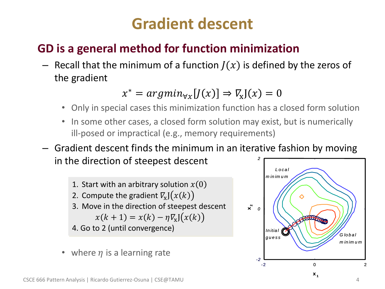## **Gradient descent**

### • **GD is a general method for function minimization**

– Recall that the minimum of a function  $J(x)$  is defined by the zeros of the gradient

 $x^* = argmin_{\forall x} [J(x)] \Rightarrow \nabla_{\mathbf{x}} J(x) = 0$ 

- Only in special cases this minimization function has a closed form solution
- In some other cases, a closed form solution may exist, but is numerically ill-posed or impractical (e.g., memory requirements)
- Gradient descent finds the minimum in an iterative fashion by moving in the direction of steepest descent *2*
	- 1. Start with an arbitrary solution  $x(0)$ 2. Compute the gradient  $\nabla_{\!\! \mathbf x} \mathsf{J}\big( x (k) \big)$ 3. Move in the direction of steepest descent  $x(k + 1) = x(k) - \eta \nabla_{\mathbf{x}} \mathbf{J}(x(k))$ 4. Go to 2 (until convergence)
	- where  $\eta$  is a learning rate

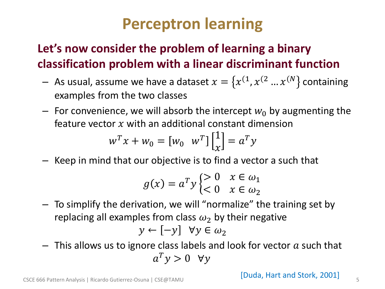## **Perceptron learning**

### • **Let's now consider the problem of learning a binary classification problem with a linear discriminant function**

- $-$  As usual, assume we have a dataset  $x = \{x^{(1)}, x^{(2)} \dots x^{(N)}\}$  containing examples from the two classes
- $-$  For convenience, we will absorb the intercept  $w_0$  by augmenting the feature vector  $x$  with an additional constant dimension

$$
w^T x + w_0 = [w_0 \quad w^T] \begin{bmatrix} 1 \\ x \end{bmatrix} = a^T y
$$

– Keep in mind that our objective is to find a vector a such that

$$
g(x) = a^T y \begin{cases} > 0 & x \in \omega_1 \\ < 0 & x \in \omega_2 \end{cases}
$$

– To simplify the derivation, we will "normalize" the training set by replacing all examples from class  $\omega_2$  by their negative

$$
y \leftarrow [-y] \ \forall y \in \omega_2
$$

 $-$  This allows us to ignore class labels and look for vector  $\alpha$  such that  $a^T y > 0 \quad \forall y$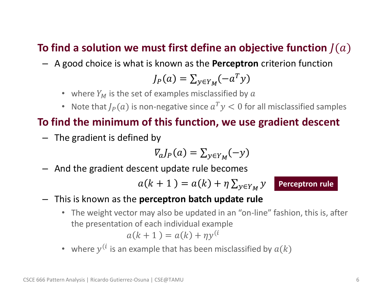#### To find a solution we must first define an objective function  $I(a)$

– A good choice is what is known as the **Perceptron** criterion function

$$
J_P(a) = \sum_{y \in Y_M} (-a^T y)
$$

- where  $Y_M$  is the set of examples misclassified by  $\alpha$
- Note that  $J_P(a)$  is non-negative since  $a^T y < 0$  for all misclassified samples

#### • **To find the minimum of this function, we use gradient descent**

– The gradient is defined by

$$
V_a J_P(a) = \sum_{y \in Y_M} (-y)
$$

– And the gradient descent update rule becomes

$$
a(k+1) = a(k) + \eta \sum_{y \in Y_M} y \quad \boxed{1}
$$

**Perceptron rule**

- This is known as the **perceptron batch update rule**
	- The weight vector may also be updated in an "on-line" fashion, this is, after the presentation of each individual example  $a(k + 1) = a(k) + \eta y^{(i)}$
	- where  $y^{(i)}$  is an example that has been misclassified by  $a(k)$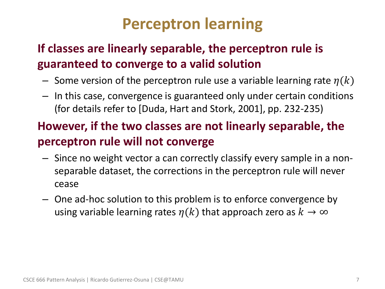## **Perceptron learning**

### • **If classes are linearly separable, the perceptron rule is guaranteed to converge to a valid solution**

- Some version of the perceptron rule use a variable learning rate  $\eta(k)$
- In this case, convergence is guaranteed only under certain conditions (for details refer to [Duda, Hart and Stork, 2001], pp. 232-235)

### • **However, if the two classes are not linearly separable, the perceptron rule will not converge**

- Since no weight vector a can correctly classify every sample in a nonseparable dataset, the corrections in the perceptron rule will never cease
- One ad-hoc solution to this problem is to enforce convergence by using variable learning rates  $\eta(k)$  that approach zero as  $k \to \infty$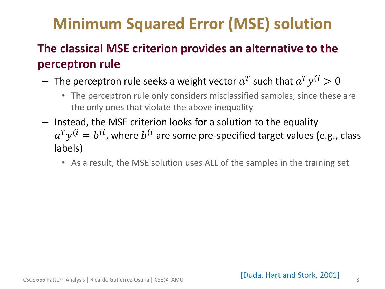# **Minimum Squared Error (MSE) solution**

### • **The classical MSE criterion provides an alternative to the perceptron rule**

- $-$  The perceptron rule seeks a weight vector  $a^T$  such that  $a^T y^{(i)} > 0$ 
	- The perceptron rule only considers misclassified samples, since these are the only ones that violate the above inequality
- Instead, the MSE criterion looks for a solution to the equality  $a^Ty^{(i}=b^{(i)}$ , where  $b^{(i)}$  are some pre-specified target values (e.g., class labels)
	- As a result, the MSE solution uses ALL of the samples in the training set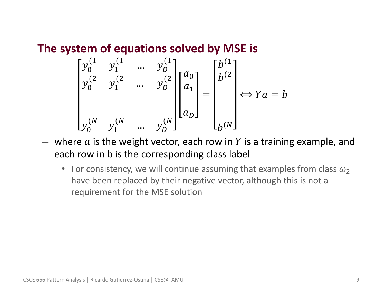• **The system of equations solved by MSE is**

$$
\begin{bmatrix} y_0^{(1} & y_1^{(1} & \dots & y_D^{(1)} \\ y_0^{(2} & y_1^{(2} & \dots & y_D^{(2)} \\ \vdots & \vdots & \ddots & \vdots \\ y_0^{(N)} & y_1^{(N} & \dots & y_D^{(N)} \end{bmatrix} \begin{bmatrix} a_0 \\ a_1 \\ \vdots \\ a_D \end{bmatrix} = \begin{bmatrix} b^{(1)} \\ b^{(2)} \\ \vdots \\ b^{(N)} \end{bmatrix} \Leftrightarrow Ya = b
$$

- where  $a$  is the weight vector, each row in  $Y$  is a training example, and each row in b is the corresponding class label
	- For consistency, we will continue assuming that examples from class  $\omega_2$ have been replaced by their negative vector, although this is not a requirement for the MSE solution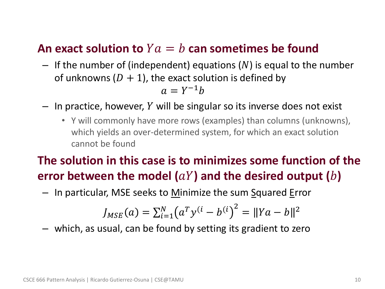#### An exact solution to  $Ya = b$  can sometimes be found

- $-$  If the number of (independent) equations (N) is equal to the number of unknowns  $(D + 1)$ , the exact solution is defined by  $a = Y^{-1}b$
- $-$  In practice, however, Y will be singular so its inverse does not exist
	- Y will commonly have more rows (examples) than columns (unknowns), which yields an over-determined system, for which an exact solution cannot be found

### • **The solution in this case is to minimizes some function of the**  error between the model  $(aY)$  and the desired output  $(b)$

 $-$  In particular, MSE seeks to Minimize the sum Squared Error

$$
J_{MSE}(a) = \sum_{i=1}^{N} (a^T y^{(i} - b^{(i)})^2 = ||Ya - b||^2
$$

– which, as usual, can be found by setting its gradient to zero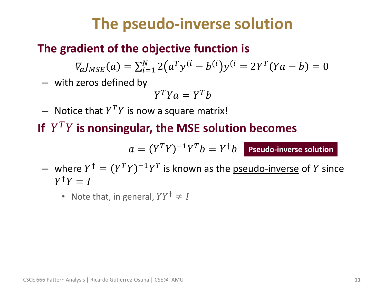## **The pseudo-inverse solution**

### • **The gradient of the objective function is**

 $\nabla_d J_{MSE}(a) = \sum_{i=1}^{N} 2(a^T y^{(i} - b^{(i)}) y^{(i)} = 2Y^T (Ya - b) = 0$  $i=1$ 

– with zeros defined by

$$
Y^T Y a = Y^T b
$$

 $-$  Notice that  $Y^TY$  is now a square matrix!

If  $Y^TY$  is nonsingular, the MSE solution becomes

 $a = (Y^T Y)^{-1} Y^T b = Y^{\dagger} b$  Pseudo-inverse solution

- where  $Y^{\dagger} = (Y^T Y)^{-1} Y^T$  is known as the <u>pseudo-inverse</u> of Y since  $Y^{\dagger}Y = I$ 
	- Note that, in general,  $YY^{\dagger} \neq I$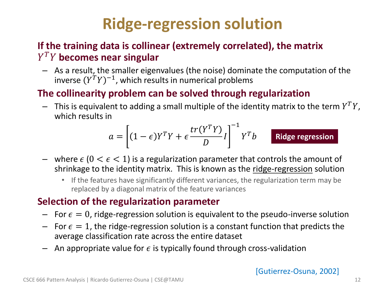# **Ridge-regression solution**

#### • **If the training data is collinear (extremely correlated), the matrix becomes near singular**

– As a result, the smaller eigenvalues (the noise) dominate the computation of the inverse  $(Y^TY)^{-1}$ , which results in numerical problems

#### • **The collinearity problem can be solved through regularization**

 $-$  This is equivalent to adding a small multiple of the identity matrix to the term  $Y^TY$ , which results in

$$
a = \left[ (1 - \epsilon)Y^TY + \epsilon \frac{tr(Y^TY)}{D}I \right]^{-1} Y^T b
$$
 Ridge regression

- where  $\epsilon$  ( $0 < \epsilon < 1$ ) is a regularization parameter that controls the amount of shrinkage to the identity matrix. This is known as the ridge-regression solution
	- If the features have significantly different variances, the regularization term may be replaced by a diagonal matrix of the feature variances

#### • **Selection of the regularization parameter**

- For  $\epsilon = 0$ , ridge-regression solution is equivalent to the pseudo-inverse solution
- For  $\epsilon = 1$ , the ridge-regression solution is a constant function that predicts the average classification rate across the entire dataset
- $-$  An appropriate value for  $\epsilon$  is typically found through cross-validation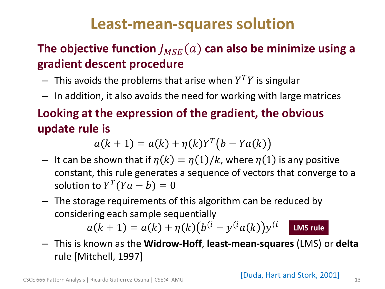## **Least-mean-squares solution**

### The objective function  $J_{MSE}(a)$  can also be minimize using a **gradient descent procedure**

- $-$  This avoids the problems that arise when  $Y^TY$  is singular
- In addition, it also avoids the need for working with large matrices

## • **Looking at the expression of the gradient, the obvious update rule is**

 $a(k + 1) = a(k) + \eta(k)Y^{T}(b - Ya(k))$ 

- It can be shown that if  $\eta(k) = \eta(1)/k$ , where  $\eta(1)$  is any positive constant, this rule generates a sequence of vectors that converge to a solution to  $Y^T(Ya - b) = 0$
- The storage requirements of this algorithm can be reduced by considering each sample sequentially

 $a(k + 1) = a(k) + \eta(k) (b^{(i)} - y^{(i}a(k))y^{(i)})$ **LMS rule**

– This is known as the **Widrow-Hoff**, **least-mean-squares** (LMS) or **delta** rule [Mitchell, 1997]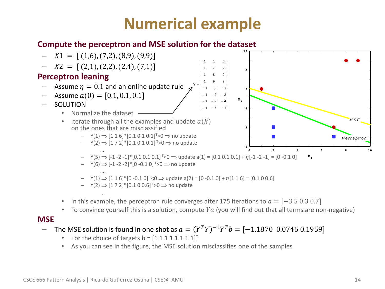## **Numerical example**

#### • **Compute the perceptron and MSE solution for the dataset**



 $-$  Y(6)  $\Rightarrow$  [-1 -2 -2]\* [0 -0.1 0]<sup>T</sup>>0  $\Rightarrow$  no update ….

$$
- \quad \Upsilon(1) \Longrightarrow [1\ 1\ 6]^*[0\ -0.1\ 0]^{\top} <0 \Longrightarrow \text{update } a(2) = [0\ -0.1\ 0] + \eta[1\ 1\ 6] = [0.1\ 0\ 0.6]
$$

$$
- \quad Y(2) \Rightarrow [1 7 2]^*[0.1 0 0.6]^{T} > 0 \Rightarrow \text{no update}
$$

- … In this example, the perceptron rule converges after 175 iterations to  $a = [-3.5, 0.3, 0.7]$
- To convince yourself this is a solution, compute  $Ya$  (you will find out that all terms are non-negative)

#### • **MSE**

- − The MSE solution is found in one shot as  $a = (Y^T Y)^{-1} Y^T b = [-1.1870 \;\; 0.0746 \; 0.1959]$ 
	- For the choice of targets  $b = [1 1 1 1 1 1 1 1]^{T}$
	- As you can see in the figure, the MSE solution misclassifies one of the samples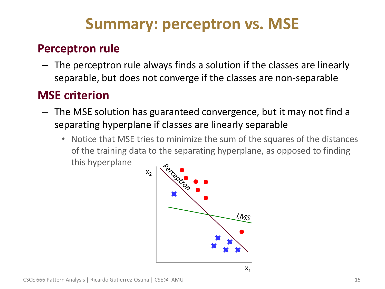## **Summary: perceptron vs. MSE**

### • **Perceptron rule**

– The perceptron rule always finds a solution if the classes are linearly separable, but does not converge if the classes are non-separable

### • **MSE criterion**

- The MSE solution has guaranteed convergence, but it may not find a separating hyperplane if classes are linearly separable
	- Notice that MSE tries to minimize the sum of the squares of the distances of the training data to the separating hyperplane, as opposed to finding this hyperplane

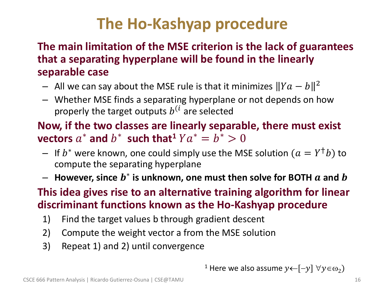# **The Ho-Kashyap procedure**

#### • **The main limitation of the MSE criterion is the lack of guarantees that a separating hyperplane will be found in the linearly separable case**

- $-$  All we can say about the MSE rule is that it minimizes  $\|Ya b\|^2$
- Whether MSE finds a separating hyperplane or not depends on how properly the target outputs  $b^{(i)}$  are selected

### • **Now, if the two classes are linearly separable, there must exist vectors**  $a^*$  and  $b^*$  such that<sup>1</sup>  $Ya^* = b^* > 0$

- $-$  If  $b^*$  were known, one could simply use the MSE solution  $(a=Y^\dagger b)$  to compute the separating hyperplane
- $-$  However, since  $b^*$  is unknown, one must then solve for BOTH  $a$  and  $b$

#### • **This idea gives rise to an alternative training algorithm for linear discriminant functions known as the Ho-Kashyap procedure**

- 1) Find the target values b through gradient descent
- 2) Compute the weight vector a from the MSE solution
- 3) Repeat 1) and 2) until convergence

<sup>1</sup> Here we also assume  $y \leftarrow [-y] \; \forall y \in \omega_2$ )